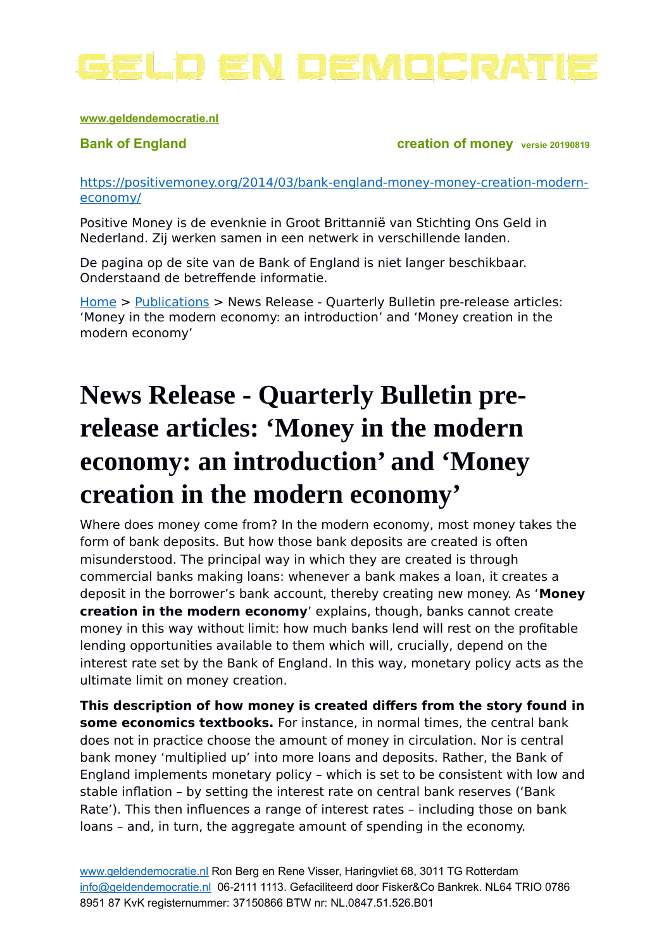

### **[www.geldendemocratie.nl](http://www.sociaalgeld.nl/)**

**Bank of England Creation of money** *versie 20190819* 

[https://positivemoney.org/2014/03/bank-england-money-money-creation-modern](https://positivemoney.org/2014/03/bank-england-money-money-creation-modern-economy/)[economy/](https://positivemoney.org/2014/03/bank-england-money-money-creation-modern-economy/)

Positive Money is de evenknie in Groot Brittannië van Stichting Ons Geld in Nederland. Zij werken samen in een netwerk in verschillende landen.

De pagina op de site van de Bank of England is niet langer beschikbaar. Onderstaand de betreffende informatie.

[Home](http://www.bankofengland.co.uk/Pages/home.aspx) > [Publications](http://www.bankofengland.co.uk/publications/Pages/default.aspx) > News Release - Quarterly Bulletin pre-release articles: 'Money in the modern economy: an introduction' and 'Money creation in the modern economy'

# **News Release - Quarterly Bulletin prerelease articles: 'Money in the modern economy: an introduction' and 'Money creation in the modern economy'**

Where does money come from? In the modern economy, most money takes the form of bank deposits. But how those bank deposits are created is often misunderstood. The principal way in which they are created is through commercial banks making loans: whenever a bank makes a loan, it creates a deposit in the borrower's bank account, thereby creating new money. As '**Money creation in the modern economy**' explains, though, banks cannot create money in this way without limit: how much banks lend will rest on the profitable lending opportunities available to them which will, crucially, depend on the interest rate set by the Bank of England. In this way, monetary policy acts as the ultimate limit on money creation.

**This description of how money is created differs from the story found in some economics textbooks.** For instance, in normal times, the central bank does not in practice choose the amount of money in circulation. Nor is central bank money 'multiplied up' into more loans and deposits. Rather, the Bank of England implements monetary policy – which is set to be consistent with low and stable inflation – by setting the interest rate on central bank reserves ('Bank Rate'). This then influences a range of interest rates – including those on bank loans – and, in turn, the aggregate amount of spending in the economy.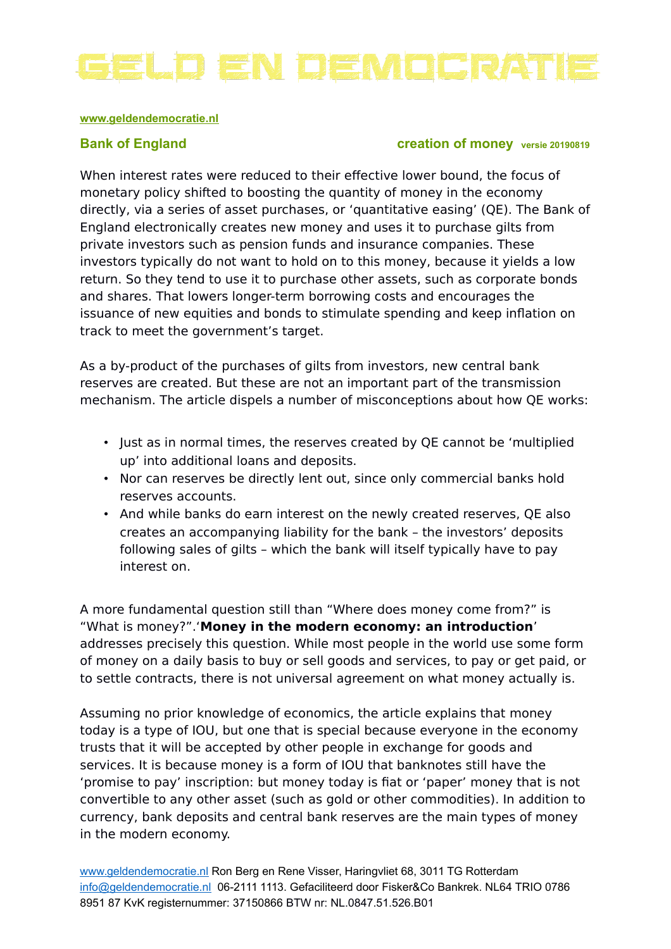

### **[www.geldendemocratie.nl](http://www.sociaalgeld.nl/)**

# **Bank of England Creation of money** *versie 20190819*

When interest rates were reduced to their effective lower bound, the focus of monetary policy shifted to boosting the quantity of money in the economy directly, via a series of asset purchases, or 'quantitative easing' (QE). The Bank of England electronically creates new money and uses it to purchase gilts from private investors such as pension funds and insurance companies. These investors typically do not want to hold on to this money, because it yields a low return. So they tend to use it to purchase other assets, such as corporate bonds and shares. That lowers longer-term borrowing costs and encourages the issuance of new equities and bonds to stimulate spending and keep inflation on track to meet the government's target.

As a by-product of the purchases of gilts from investors, new central bank reserves are created. But these are not an important part of the transmission mechanism. The article dispels a number of misconceptions about how QE works:

- Just as in normal times, the reserves created by QE cannot be 'multiplied up' into additional loans and deposits.
- Nor can reserves be directly lent out, since only commercial banks hold reserves accounts.
- And while banks do earn interest on the newly created reserves, QE also creates an accompanying liability for the bank – the investors' deposits following sales of gilts – which the bank will itself typically have to pay interest on.

A more fundamental question still than "Where does money come from?" is "What is money?".'**Money in the modern economy: an introduction**' addresses precisely this question. While most people in the world use some form of money on a daily basis to buy or sell goods and services, to pay or get paid, or to settle contracts, there is not universal agreement on what money actually is.

Assuming no prior knowledge of economics, the article explains that money today is a type of IOU, but one that is special because everyone in the economy trusts that it will be accepted by other people in exchange for goods and services. It is because money is a form of IOU that banknotes still have the 'promise to pay' inscription: but money today is fiat or 'paper' money that is not convertible to any other asset (such as gold or other commodities). In addition to currency, bank deposits and central bank reserves are the main types of money in the modern economy.